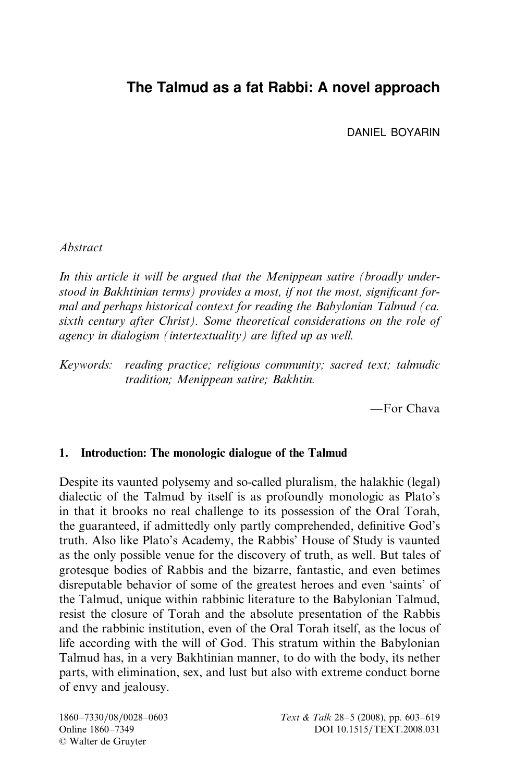# The Talmud as a fat Rabbi: A novel approach

DANIEL BOYARIN

Abstract

In this article it will be argued that the Menippean satire (broadly understood in Bakhtinian terms) provides a most, if not the most, significant formal and perhaps historical context for reading the Babylonian Talmud (ca. sixth century after Christ). Some theoretical considerations on the role of agency in dialogism (intertextuality) are lifted up as well.

Keywords: reading practice; religious community; sacred text; talmudic tradition; Menippean satire; Bakhtin.

—For Chava

### 1. Introduction: The monologic dialogue of the Talmud

Despite its vaunted polysemy and so-called pluralism, the halakhic (legal) dialectic of the Talmud by itself is as profoundly monologic as Plato's in that it brooks no real challenge to its possession of the Oral Torah, the guaranteed, if admittedly only partly comprehended, definitive God's truth. Also like Plato's Academy, the Rabbis' House of Study is vaunted as the only possible venue for the discovery of truth, as well. But tales of grotesque bodies of Rabbis and the bizarre, fantastic, and even betimes disreputable behavior of some of the greatest heroes and even 'saints' of the Talmud, unique within rabbinic literature to the Babylonian Talmud, resist the closure of Torah and the absolute presentation of the Rabbis and the rabbinic institution, even of the Oral Torah itself, as the locus of life according with the will of God. This stratum within the Babylonian Talmud has, in a very Bakhtinian manner, to do with the body, its nether parts, with elimination, sex, and lust but also with extreme conduct borne of envy and jealousy.

*6* Walter de Gruyter

1860–7330/08/0028–0603<br>
1860–7349 Text & Talk 28–5 (2008), pp. 603–619<br>
1860–7349 DOI 10 1515/TEXT 2008 031 DOI 10.1515/TEXT.2008.031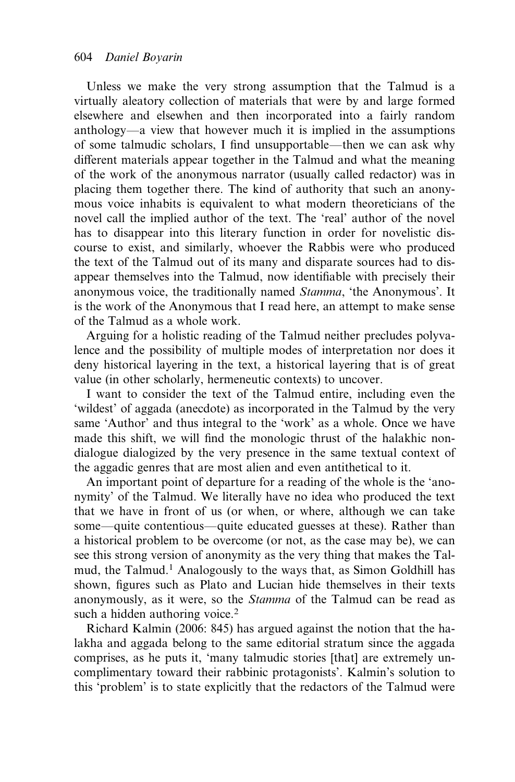Unless we make the very strong assumption that the Talmud is a virtually aleatory collection of materials that were by and large formed elsewhere and elsewhen and then incorporated into a fairly random anthology—a view that however much it is implied in the assumptions of some talmudic scholars, I find unsupportable—then we can ask why different materials appear together in the Talmud and what the meaning of the work of the anonymous narrator (usually called redactor) was in placing them together there. The kind of authority that such an anonymous voice inhabits is equivalent to what modern theoreticians of the novel call the implied author of the text. The 'real' author of the novel has to disappear into this literary function in order for novelistic discourse to exist, and similarly, whoever the Rabbis were who produced the text of the Talmud out of its many and disparate sources had to disappear themselves into the Talmud, now identifiable with precisely their anonymous voice, the traditionally named Stamma, 'the Anonymous'. It is the work of the Anonymous that I read here, an attempt to make sense of the Talmud as a whole work.

Arguing for a holistic reading of the Talmud neither precludes polyvalence and the possibility of multiple modes of interpretation nor does it deny historical layering in the text, a historical layering that is of great value (in other scholarly, hermeneutic contexts) to uncover.

I want to consider the text of the Talmud entire, including even the 'wildest' of aggada (anecdote) as incorporated in the Talmud by the very same 'Author' and thus integral to the 'work' as a whole. Once we have made this shift, we will find the monologic thrust of the halakhic nondialogue dialogized by the very presence in the same textual context of the aggadic genres that are most alien and even antithetical to it.

An important point of departure for a reading of the whole is the 'anonymity' of the Talmud. We literally have no idea who produced the text that we have in front of us (or when, or where, although we can take some—quite contentious—quite educated guesses at these). Rather than a historical problem to be overcome (or not, as the case may be), we can see this strong version of anonymity as the very thing that makes the Talmud, the Talmud.<sup>1</sup> Analogously to the ways that, as Simon Goldhill has shown, figures such as Plato and Lucian hide themselves in their texts anonymously, as it were, so the Stamma of the Talmud can be read as such a hidden authoring voice.<sup>2</sup>

Richard Kalmin (2006: 845) has argued against the notion that the halakha and aggada belong to the same editorial stratum since the aggada comprises, as he puts it, 'many talmudic stories [that] are extremely uncomplimentary toward their rabbinic protagonists'. Kalmin's solution to this 'problem' is to state explicitly that the redactors of the Talmud were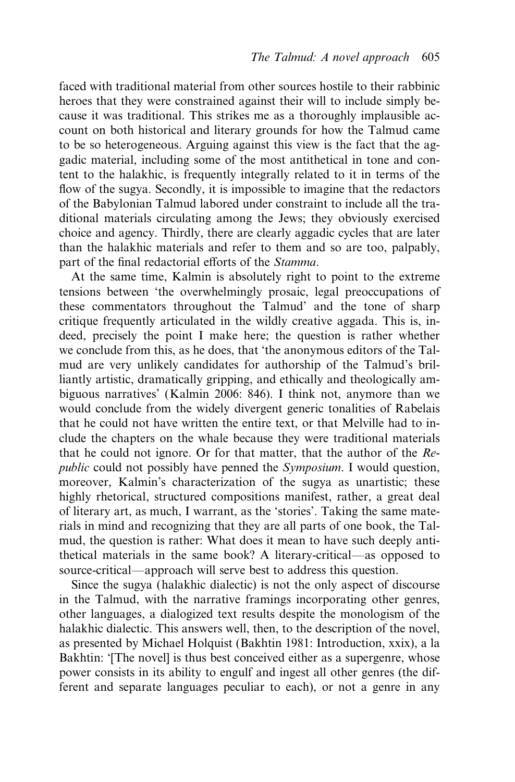faced with traditional material from other sources hostile to their rabbinic heroes that they were constrained against their will to include simply because it was traditional. This strikes me as a thoroughly implausible account on both historical and literary grounds for how the Talmud came to be so heterogeneous. Arguing against this view is the fact that the aggadic material, including some of the most antithetical in tone and content to the halakhic, is frequently integrally related to it in terms of the flow of the sugya. Secondly, it is impossible to imagine that the redactors of the Babylonian Talmud labored under constraint to include all the traditional materials circulating among the Jews; they obviously exercised choice and agency. Thirdly, there are clearly aggadic cycles that are later than the halakhic materials and refer to them and so are too, palpably, part of the final redactorial efforts of the Stamma.

At the same time, Kalmin is absolutely right to point to the extreme tensions between 'the overwhelmingly prosaic, legal preoccupations of these commentators throughout the Talmud' and the tone of sharp critique frequently articulated in the wildly creative aggada. This is, indeed, precisely the point I make here; the question is rather whether we conclude from this, as he does, that 'the anonymous editors of the Talmud are very unlikely candidates for authorship of the Talmud's brilliantly artistic, dramatically gripping, and ethically and theologically ambiguous narratives' (Kalmin 2006: 846). I think not, anymore than we would conclude from the widely divergent generic tonalities of Rabelais that he could not have written the entire text, or that Melville had to include the chapters on the whale because they were traditional materials that he could not ignore. Or for that matter, that the author of the Republic could not possibly have penned the Symposium. I would question, moreover, Kalmin's characterization of the sugya as unartistic; these highly rhetorical, structured compositions manifest, rather, a great deal of literary art, as much, I warrant, as the 'stories'. Taking the same materials in mind and recognizing that they are all parts of one book, the Talmud, the question is rather: What does it mean to have such deeply antithetical materials in the same book? A literary-critical—as opposed to source-critical—approach will serve best to address this question.

Since the sugya (halakhic dialectic) is not the only aspect of discourse in the Talmud, with the narrative framings incorporating other genres, other languages, a dialogized text results despite the monologism of the halakhic dialectic. This answers well, then, to the description of the novel, as presented by Michael Holquist (Bakhtin 1981: Introduction, xxix), a la Bakhtin: '[The novel] is thus best conceived either as a supergenre, whose power consists in its ability to engulf and ingest all other genres (the different and separate languages peculiar to each), or not a genre in any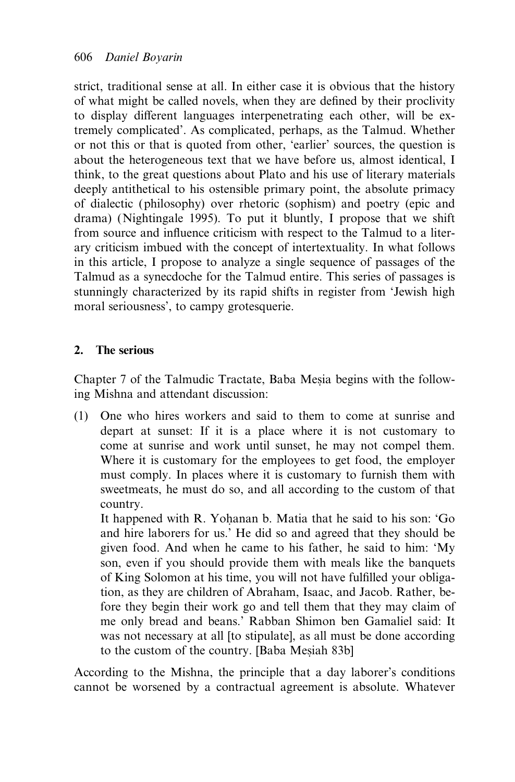strict, traditional sense at all. In either case it is obvious that the history of what might be called novels, when they are defined by their proclivity to display different languages interpenetrating each other, will be extremely complicated'. As complicated, perhaps, as the Talmud. Whether or not this or that is quoted from other, 'earlier' sources, the question is about the heterogeneous text that we have before us, almost identical, I think, to the great questions about Plato and his use of literary materials deeply antithetical to his ostensible primary point, the absolute primacy of dialectic (philosophy) over rhetoric (sophism) and poetry (epic and drama) (Nightingale 1995). To put it bluntly, I propose that we shift from source and influence criticism with respect to the Talmud to a literary criticism imbued with the concept of intertextuality. In what follows in this article, I propose to analyze a single sequence of passages of the Talmud as a synecdoche for the Talmud entire. This series of passages is stunningly characterized by its rapid shifts in register from 'Jewish high moral seriousness', to campy grotesquerie.

## 2. The serious

Chapter 7 of the Talmudic Tractate, Baba Mesia begins with the follow-<br>ing Mishna and attendant discussion: ing Mishna and attendant discussion:

(1) One who hires workers and said to them to come at sunrise and depart at sunset: If it is a place where it is not customary to come at sunrise and work until sunset, he may not compel them. Where it is customary for the employees to get food, the employer must comply. In places where it is customary to furnish them with sweetmeats, he must do so, and all according to the custom of that country.

It happened with R. Yohanan b. Matia that he said to his son: 'Go<br>and hire laborers for us,' He did so and agreed that they should be and hire laborers for us.' He did so and agreed that they should be given food. And when he came to his father, he said to him: 'My son, even if you should provide them with meals like the banquets of King Solomon at his time, you will not have fulfilled your obligation, as they are children of Abraham, Isaac, and Jacob. Rather, before they begin their work go and tell them that they may claim of me only bread and beans.' Rabban Shimon ben Gamaliel said: It was not necessary at all [to stipulate], as all must be done according to the custom of the country. [Baba Mesiah 83b]

According to the Mishna, the principle that a day laborer's conditions cannot be worsened by a contractual agreement is absolute. Whatever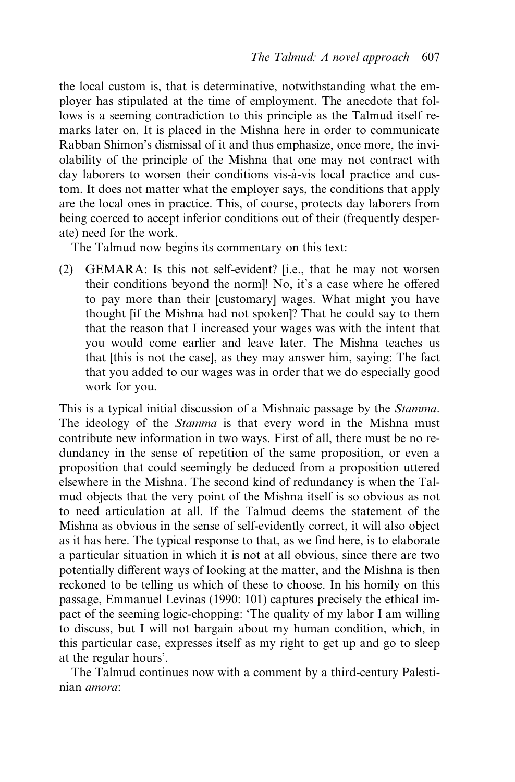the local custom is, that is determinative, notwithstanding what the employer has stipulated at the time of employment. The anecdote that follows is a seeming contradiction to this principle as the Talmud itself remarks later on. It is placed in the Mishna here in order to communicate Rabban Shimon's dismissal of it and thus emphasize, once more, the inviolability of the principle of the Mishna that one may not contract with day laborers to worsen their conditions vis-à-vis local practice and custom. It does not matter what the employer says, the conditions that apply are the local ones in practice. This, of course, protects day laborers from being coerced to accept inferior conditions out of their (frequently desperate) need for the work.

The Talmud now begins its commentary on this text:

(2) GEMARA: Is this not self-evident? [i.e., that he may not worsen their conditions beyond the norm]! No, it's a case where he offered to pay more than their [customary] wages. What might you have thought [if the Mishna had not spoken]? That he could say to them that the reason that I increased your wages was with the intent that you would come earlier and leave later. The Mishna teaches us that [this is not the case], as they may answer him, saying: The fact that you added to our wages was in order that we do especially good work for you.

This is a typical initial discussion of a Mishnaic passage by the Stamma. The ideology of the *Stamma* is that every word in the Mishna must contribute new information in two ways. First of all, there must be no redundancy in the sense of repetition of the same proposition, or even a proposition that could seemingly be deduced from a proposition uttered elsewhere in the Mishna. The second kind of redundancy is when the Talmud objects that the very point of the Mishna itself is so obvious as not to need articulation at all. If the Talmud deems the statement of the Mishna as obvious in the sense of self-evidently correct, it will also object as it has here. The typical response to that, as we find here, is to elaborate a particular situation in which it is not at all obvious, since there are two potentially different ways of looking at the matter, and the Mishna is then reckoned to be telling us which of these to choose. In his homily on this passage, Emmanuel Levinas (1990: 101) captures precisely the ethical impact of the seeming logic-chopping: 'The quality of my labor I am willing to discuss, but I will not bargain about my human condition, which, in this particular case, expresses itself as my right to get up and go to sleep at the regular hours'.

The Talmud continues now with a comment by a third-century Palestinian amora: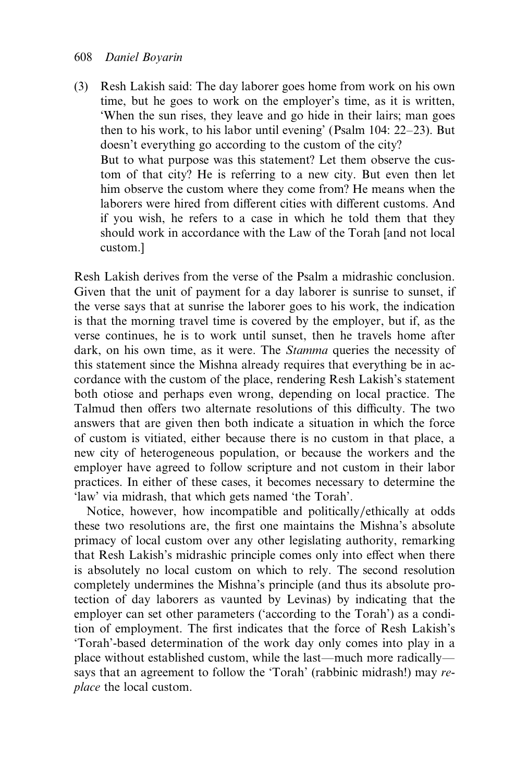### 608 Daniel Boyarin

(3) Resh Lakish said: The day laborer goes home from work on his own time, but he goes to work on the employer's time, as it is written, 'When the sun rises, they leave and go hide in their lairs; man goes then to his work, to his labor until evening' (Psalm 104: 22–23). But doesn't everything go according to the custom of the city? But to what purpose was this statement? Let them observe the custom of that city? He is referring to a new city. But even then let him observe the custom where they come from? He means when the laborers were hired from different cities with different customs. And if you wish, he refers to a case in which he told them that they should work in accordance with the Law of the Torah [and not local custom.]

Resh Lakish derives from the verse of the Psalm a midrashic conclusion. Given that the unit of payment for a day laborer is sunrise to sunset, if the verse says that at sunrise the laborer goes to his work, the indication is that the morning travel time is covered by the employer, but if, as the verse continues, he is to work until sunset, then he travels home after dark, on his own time, as it were. The Stamma queries the necessity of this statement since the Mishna already requires that everything be in accordance with the custom of the place, rendering Resh Lakish's statement both otiose and perhaps even wrong, depending on local practice. The Talmud then offers two alternate resolutions of this difficulty. The two answers that are given then both indicate a situation in which the force of custom is vitiated, either because there is no custom in that place, a new city of heterogeneous population, or because the workers and the employer have agreed to follow scripture and not custom in their labor practices. In either of these cases, it becomes necessary to determine the 'law' via midrash, that which gets named 'the Torah'.

Notice, however, how incompatible and politically/ethically at odds these two resolutions are, the first one maintains the Mishna's absolute primacy of local custom over any other legislating authority, remarking that Resh Lakish's midrashic principle comes only into effect when there is absolutely no local custom on which to rely. The second resolution completely undermines the Mishna's principle (and thus its absolute protection of day laborers as vaunted by Levinas) by indicating that the employer can set other parameters ('according to the Torah') as a condition of employment. The first indicates that the force of Resh Lakish's 'Torah'-based determination of the work day only comes into play in a place without established custom, while the last—much more radically says that an agreement to follow the 'Torah' (rabbinic midrash!) may replace the local custom.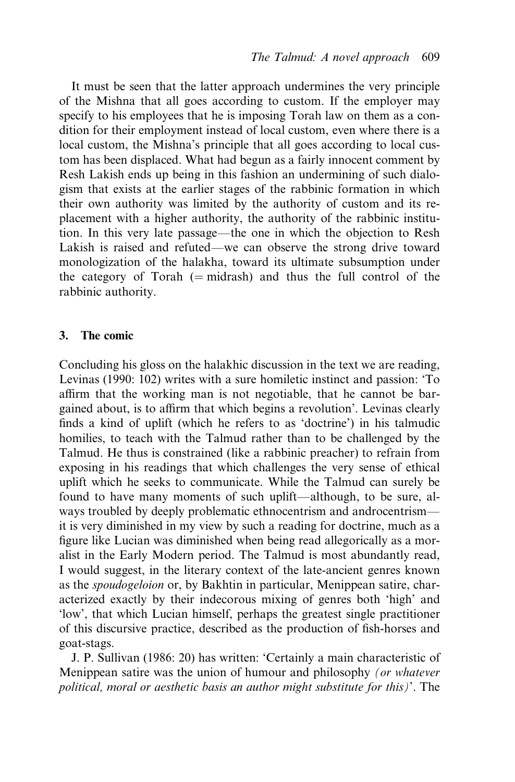It must be seen that the latter approach undermines the very principle of the Mishna that all goes according to custom. If the employer may specify to his employees that he is imposing Torah law on them as a condition for their employment instead of local custom, even where there is a local custom, the Mishna's principle that all goes according to local custom has been displaced. What had begun as a fairly innocent comment by Resh Lakish ends up being in this fashion an undermining of such dialogism that exists at the earlier stages of the rabbinic formation in which their own authority was limited by the authority of custom and its replacement with a higher authority, the authority of the rabbinic institution. In this very late passage—the one in which the objection to Resh Lakish is raised and refuted—we can observe the strong drive toward monologization of the halakha, toward its ultimate subsumption under the category of Torah  $(=\text{midrash})$  and thus the full control of the rabbinic authority.

### 3. The comic

Concluding his gloss on the halakhic discussion in the text we are reading, Levinas (1990: 102) writes with a sure homiletic instinct and passion: 'To affirm that the working man is not negotiable, that he cannot be bargained about, is to affirm that which begins a revolution'. Levinas clearly finds a kind of uplift (which he refers to as 'doctrine') in his talmudic homilies, to teach with the Talmud rather than to be challenged by the Talmud. He thus is constrained (like a rabbinic preacher) to refrain from exposing in his readings that which challenges the very sense of ethical uplift which he seeks to communicate. While the Talmud can surely be found to have many moments of such uplift—although, to be sure, always troubled by deeply problematic ethnocentrism and androcentrism it is very diminished in my view by such a reading for doctrine, much as a figure like Lucian was diminished when being read allegorically as a moralist in the Early Modern period. The Talmud is most abundantly read, I would suggest, in the literary context of the late-ancient genres known as the spoudogeloion or, by Bakhtin in particular, Menippean satire, characterized exactly by their indecorous mixing of genres both 'high' and 'low', that which Lucian himself, perhaps the greatest single practitioner of this discursive practice, described as the production of fish-horses and goat-stags.

J. P. Sullivan (1986: 20) has written: 'Certainly a main characteristic of Menippean satire was the union of humour and philosophy (or whatever political, moral or aesthetic basis an author might substitute for this)'. The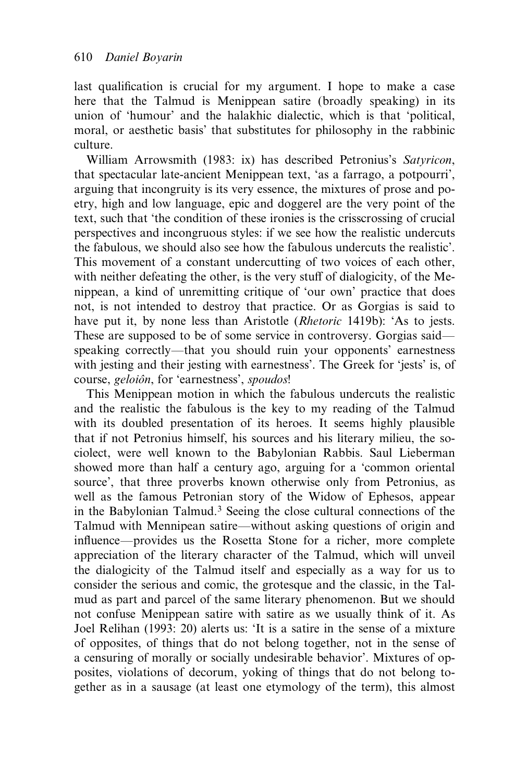last qualification is crucial for my argument. I hope to make a case here that the Talmud is Menippean satire (broadly speaking) in its union of 'humour' and the halakhic dialectic, which is that 'political, moral, or aesthetic basis' that substitutes for philosophy in the rabbinic culture.

William Arrowsmith (1983: ix) has described Petronius's Satyricon, that spectacular late-ancient Menippean text, 'as a farrago, a potpourri', arguing that incongruity is its very essence, the mixtures of prose and poetry, high and low language, epic and doggerel are the very point of the text, such that 'the condition of these ironies is the crisscrossing of crucial perspectives and incongruous styles: if we see how the realistic undercuts the fabulous, we should also see how the fabulous undercuts the realistic'. This movement of a constant undercutting of two voices of each other, with neither defeating the other, is the very stuff of dialogicity, of the Menippean, a kind of unremitting critique of 'our own' practice that does not, is not intended to destroy that practice. Or as Gorgias is said to have put it, by none less than Aristotle (*Rhetoric* 1419b): 'As to jests. These are supposed to be of some service in controversy. Gorgias said speaking correctly—that you should ruin your opponents' earnestness with jesting and their jesting with earnestness'. The Greek for 'jests' is, of course, geloiôn, for 'earnestness', spoudos!

This Menippean motion in which the fabulous undercuts the realistic and the realistic the fabulous is the key to my reading of the Talmud with its doubled presentation of its heroes. It seems highly plausible that if not Petronius himself, his sources and his literary milieu, the sociolect, were well known to the Babylonian Rabbis. Saul Lieberman showed more than half a century ago, arguing for a 'common oriental source', that three proverbs known otherwise only from Petronius, as well as the famous Petronian story of the Widow of Ephesos, appear in the Babylonian Talmud.<sup>3</sup> Seeing the close cultural connections of the Talmud with Mennipean satire—without asking questions of origin and influence—provides us the Rosetta Stone for a richer, more complete appreciation of the literary character of the Talmud, which will unveil the dialogicity of the Talmud itself and especially as a way for us to consider the serious and comic, the grotesque and the classic, in the Talmud as part and parcel of the same literary phenomenon. But we should not confuse Menippean satire with satire as we usually think of it. As Joel Relihan (1993: 20) alerts us: 'It is a satire in the sense of a mixture of opposites, of things that do not belong together, not in the sense of a censuring of morally or socially undesirable behavior'. Mixtures of opposites, violations of decorum, yoking of things that do not belong together as in a sausage (at least one etymology of the term), this almost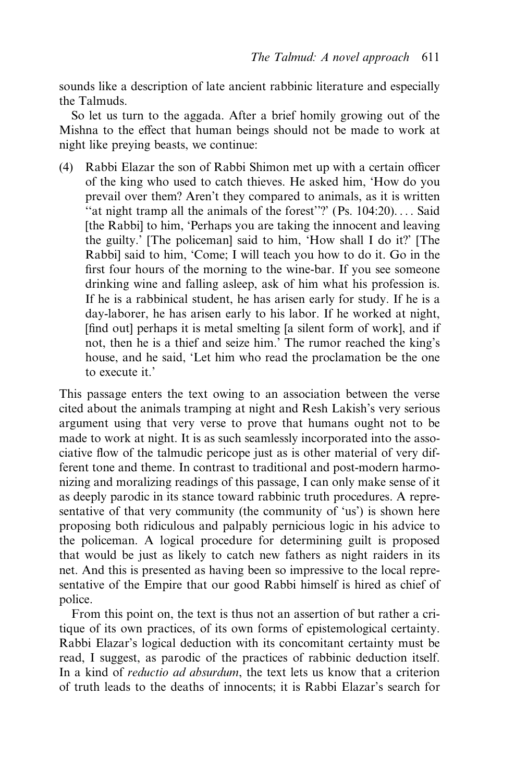sounds like a description of late ancient rabbinic literature and especially the Talmuds.

So let us turn to the aggada. After a brief homily growing out of the Mishna to the effect that human beings should not be made to work at night like preying beasts, we continue:

 $(4)$  Rabbi Elazar the son of Rabbi Shimon met up with a certain officer of the king who used to catch thieves. He asked him, 'How do you prevail over them? Aren't they compared to animals, as it is written "at night tramp all the animals of the forest"?' (Ps.  $104:20$ ).... Said [the Rabbi] to him, 'Perhaps you are taking the innocent and leaving the guilty.' [The policeman] said to him, 'How shall I do it?' [The Rabbi] said to him, 'Come; I will teach you how to do it. Go in the first four hours of the morning to the wine-bar. If you see someone drinking wine and falling asleep, ask of him what his profession is. If he is a rabbinical student, he has arisen early for study. If he is a day-laborer, he has arisen early to his labor. If he worked at night, [find out] perhaps it is metal smelting [a silent form of work], and if not, then he is a thief and seize him.' The rumor reached the king's house, and he said, 'Let him who read the proclamation be the one to execute it.'

This passage enters the text owing to an association between the verse cited about the animals tramping at night and Resh Lakish's very serious argument using that very verse to prove that humans ought not to be made to work at night. It is as such seamlessly incorporated into the associative flow of the talmudic pericope just as is other material of very different tone and theme. In contrast to traditional and post-modern harmonizing and moralizing readings of this passage, I can only make sense of it as deeply parodic in its stance toward rabbinic truth procedures. A representative of that very community (the community of 'us') is shown here proposing both ridiculous and palpably pernicious logic in his advice to the policeman. A logical procedure for determining guilt is proposed that would be just as likely to catch new fathers as night raiders in its net. And this is presented as having been so impressive to the local representative of the Empire that our good Rabbi himself is hired as chief of police.

From this point on, the text is thus not an assertion of but rather a critique of its own practices, of its own forms of epistemological certainty. Rabbi Elazar's logical deduction with its concomitant certainty must be read, I suggest, as parodic of the practices of rabbinic deduction itself. In a kind of *reductio ad absurdum*, the text lets us know that a criterion of truth leads to the deaths of innocents; it is Rabbi Elazar's search for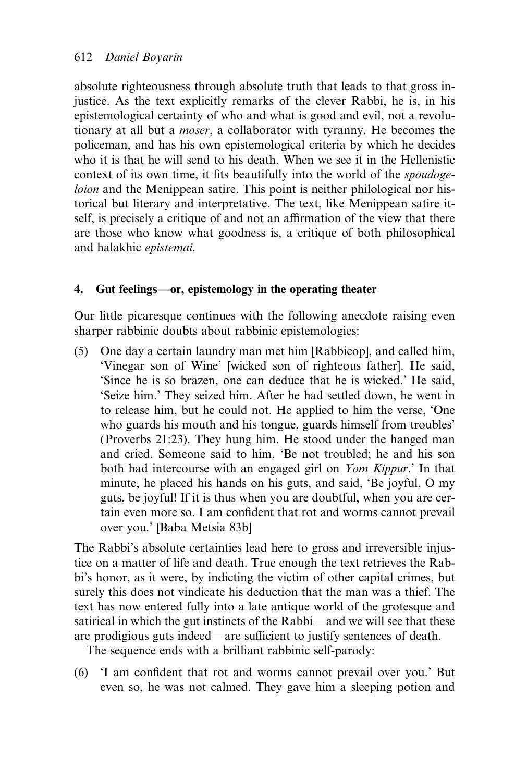absolute righteousness through absolute truth that leads to that gross injustice. As the text explicitly remarks of the clever Rabbi, he is, in his epistemological certainty of who and what is good and evil, not a revolutionary at all but a moser, a collaborator with tyranny. He becomes the policeman, and has his own epistemological criteria by which he decides who it is that he will send to his death. When we see it in the Hellenistic context of its own time, it fits beautifully into the world of the spoudogeloion and the Menippean satire. This point is neither philological nor historical but literary and interpretative. The text, like Menippean satire itself, is precisely a critique of and not an affirmation of the view that there are those who know what goodness is, a critique of both philosophical and halakhic epistemai.

## 4. Gut feelings—or, epistemology in the operating theater

Our little picaresque continues with the following anecdote raising even sharper rabbinic doubts about rabbinic epistemologies:

(5) One day a certain laundry man met him [Rabbicop], and called him, 'Vinegar son of Wine' [wicked son of righteous father]. He said, 'Since he is so brazen, one can deduce that he is wicked.' He said, 'Seize him.' They seized him. After he had settled down, he went in to release him, but he could not. He applied to him the verse, 'One who guards his mouth and his tongue, guards himself from troubles' (Proverbs 21:23). They hung him. He stood under the hanged man and cried. Someone said to him, 'Be not troubled; he and his son both had intercourse with an engaged girl on Yom Kippur.' In that minute, he placed his hands on his guts, and said, 'Be joyful, O my guts, be joyful! If it is thus when you are doubtful, when you are certain even more so. I am confident that rot and worms cannot prevail over you.' [Baba Metsia 83b]

The Rabbi's absolute certainties lead here to gross and irreversible injustice on a matter of life and death. True enough the text retrieves the Rabbi's honor, as it were, by indicting the victim of other capital crimes, but surely this does not vindicate his deduction that the man was a thief. The text has now entered fully into a late antique world of the grotesque and satirical in which the gut instincts of the Rabbi—and we will see that these are prodigious guts indeed—are sufficient to justify sentences of death.

The sequence ends with a brilliant rabbinic self-parody:

(6) 'I am confident that rot and worms cannot prevail over you.' But even so, he was not calmed. They gave him a sleeping potion and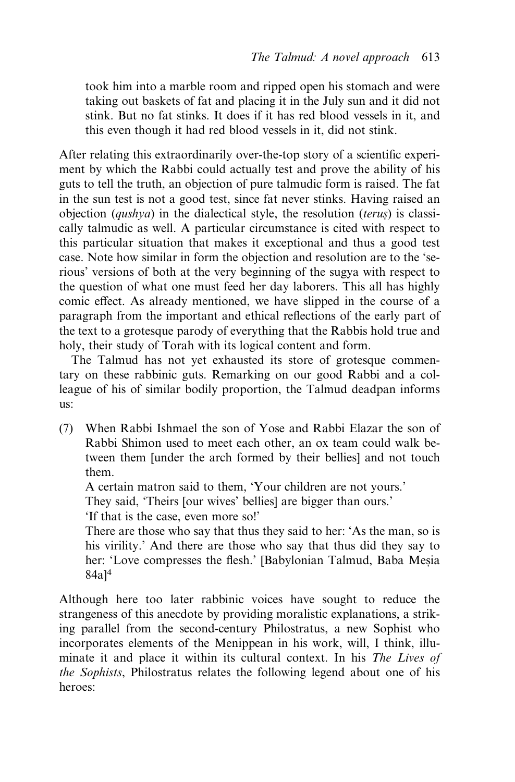took him into a marble room and ripped open his stomach and were taking out baskets of fat and placing it in the July sun and it did not stink. But no fat stinks. It does if it has red blood vessels in it, and this even though it had red blood vessels in it, did not stink.

After relating this extraordinarily over-the-top story of a scientific experiment by which the Rabbi could actually test and prove the ability of his guts to tell the truth, an objection of pure talmudic form is raised. The fat in the sun test is not a good test, since fat never stinks. Having raised an objection  $(qushya)$  in the dialectical style, the resolution (*terus*) is classi-<br>cally talmudic as well. A particular circumstance is cited with respect to cally talmudic as well. A particular circumstance is cited with respect to this particular situation that makes it exceptional and thus a good test case. Note how similar in form the objection and resolution are to the 'serious' versions of both at the very beginning of the sugya with respect to the question of what one must feed her day laborers. This all has highly comic effect. As already mentioned, we have slipped in the course of a paragraph from the important and ethical reflections of the early part of the text to a grotesque parody of everything that the Rabbis hold true and holy, their study of Torah with its logical content and form.

The Talmud has not yet exhausted its store of grotesque commentary on these rabbinic guts. Remarking on our good Rabbi and a colleague of his of similar bodily proportion, the Talmud deadpan informs us:

(7) When Rabbi Ishmael the son of Yose and Rabbi Elazar the son of Rabbi Shimon used to meet each other, an ox team could walk between them [under the arch formed by their bellies] and not touch them.

A certain matron said to them, 'Your children are not yours.'

They said, 'Theirs [our wives' bellies] are bigger than ours.'

'If that is the case, even more so!'

There are those who say that thus they said to her: 'As the man, so is his virility.' And there are those who say that thus did they say to her: 'Love compresses the flesh.' [Babylonian Talmud, Baba Mesia<br>84a1<sup>4</sup> 84a]<sup>4</sup>

Although here too later rabbinic voices have sought to reduce the strangeness of this anecdote by providing moralistic explanations, a striking parallel from the second-century Philostratus, a new Sophist who incorporates elements of the Menippean in his work, will, I think, illuminate it and place it within its cultural context. In his The Lives of the Sophists, Philostratus relates the following legend about one of his heroes: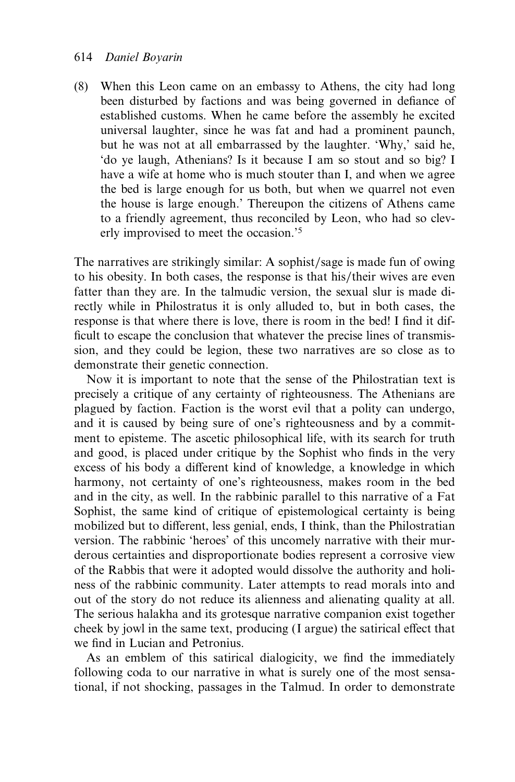#### 614 Daniel Boyarin

(8) When this Leon came on an embassy to Athens, the city had long been disturbed by factions and was being governed in defiance of established customs. When he came before the assembly he excited universal laughter, since he was fat and had a prominent paunch, but he was not at all embarrassed by the laughter. 'Why,' said he, 'do ye laugh, Athenians? Is it because I am so stout and so big? I have a wife at home who is much stouter than I, and when we agree the bed is large enough for us both, but when we quarrel not even the house is large enough.' Thereupon the citizens of Athens came to a friendly agreement, thus reconciled by Leon, who had so cleverly improvised to meet the occasion.'<sup>5</sup>

The narratives are strikingly similar: A sophist/sage is made fun of owing to his obesity. In both cases, the response is that his/their wives are even fatter than they are. In the talmudic version, the sexual slur is made directly while in Philostratus it is only alluded to, but in both cases, the response is that where there is love, there is room in the bed! I find it difficult to escape the conclusion that whatever the precise lines of transmission, and they could be legion, these two narratives are so close as to demonstrate their genetic connection.

Now it is important to note that the sense of the Philostratian text is precisely a critique of any certainty of righteousness. The Athenians are plagued by faction. Faction is the worst evil that a polity can undergo, and it is caused by being sure of one's righteousness and by a commitment to episteme. The ascetic philosophical life, with its search for truth and good, is placed under critique by the Sophist who finds in the very excess of his body a different kind of knowledge, a knowledge in which harmony, not certainty of one's righteousness, makes room in the bed and in the city, as well. In the rabbinic parallel to this narrative of a Fat Sophist, the same kind of critique of epistemological certainty is being mobilized but to different, less genial, ends, I think, than the Philostratian version. The rabbinic 'heroes' of this uncomely narrative with their murderous certainties and disproportionate bodies represent a corrosive view of the Rabbis that were it adopted would dissolve the authority and holiness of the rabbinic community. Later attempts to read morals into and out of the story do not reduce its alienness and alienating quality at all. The serious halakha and its grotesque narrative companion exist together cheek by jowl in the same text, producing  $(I \t{argue})$  the satirical effect that we find in Lucian and Petronius.

As an emblem of this satirical dialogicity, we find the immediately following coda to our narrative in what is surely one of the most sensational, if not shocking, passages in the Talmud. In order to demonstrate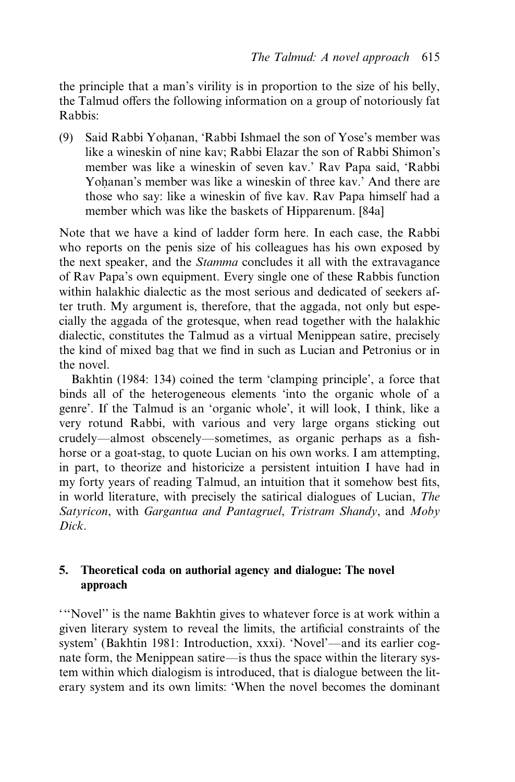the principle that a man's virility is in proportion to the size of his belly, the Talmud offers the following information on a group of notoriously fat Rabbis:

(9) Said Rabbi Yohanan, 'Rabbi Ishmael the son of Yose's member was<br>like a wineskin of nine kay: Rabbi Elazar the son of Rabbi Shimon's like a wineskin of nine kav; Rabbi Elazar the son of Rabbi Shimon's member was like a wineskin of seven kav.' Rav Papa said, 'Rabbi Yohanan's member was like a wineskin of three kav.' And there are<br>those who say: like a wineskin of five kay. Bay Pana himself had a those who say: like a wineskin of five kav. Rav Papa himself had a member which was like the baskets of Hipparenum. [84a]

Note that we have a kind of ladder form here. In each case, the Rabbi who reports on the penis size of his colleagues has his own exposed by the next speaker, and the Stamma concludes it all with the extravagance of Rav Papa's own equipment. Every single one of these Rabbis function within halakhic dialectic as the most serious and dedicated of seekers after truth. My argument is, therefore, that the aggada, not only but especially the aggada of the grotesque, when read together with the halakhic dialectic, constitutes the Talmud as a virtual Menippean satire, precisely the kind of mixed bag that we find in such as Lucian and Petronius or in the novel.

Bakhtin (1984: 134) coined the term 'clamping principle', a force that binds all of the heterogeneous elements 'into the organic whole of a genre'. If the Talmud is an 'organic whole', it will look, I think, like a very rotund Rabbi, with various and very large organs sticking out crudely—almost obscenely—sometimes, as organic perhaps as a fishhorse or a goat-stag, to quote Lucian on his own works. I am attempting, in part, to theorize and historicize a persistent intuition I have had in my forty years of reading Talmud, an intuition that it somehow best fits, in world literature, with precisely the satirical dialogues of Lucian, The Satyricon, with Gargantua and Pantagruel, Tristram Shandy, and Moby Dick.

### 5. Theoretical coda on authorial agency and dialogue: The novel approach

'''Novel'' is the name Bakhtin gives to whatever force is at work within a given literary system to reveal the limits, the artificial constraints of the system' (Bakhtin 1981: Introduction, xxxi). 'Novel'—and its earlier cognate form, the Menippean satire—is thus the space within the literary system within which dialogism is introduced, that is dialogue between the literary system and its own limits: 'When the novel becomes the dominant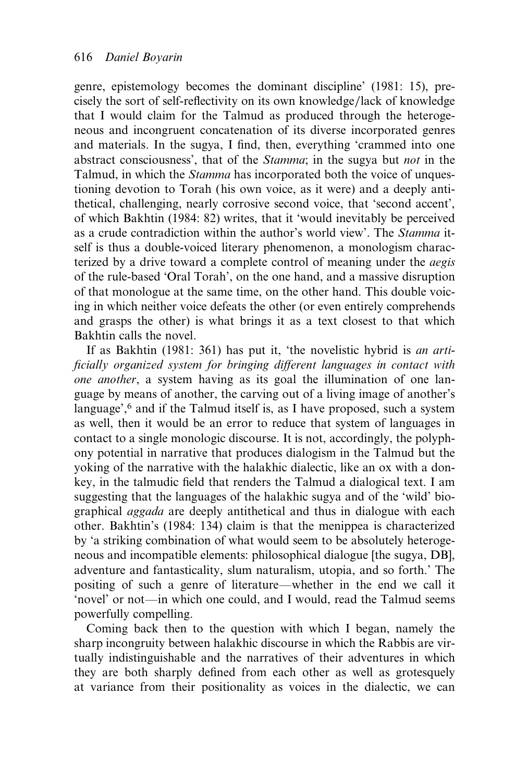genre, epistemology becomes the dominant discipline' (1981: 15), precisely the sort of self-reflectivity on its own knowledge/lack of knowledge that I would claim for the Talmud as produced through the heterogeneous and incongruent concatenation of its diverse incorporated genres and materials. In the sugya, I find, then, everything 'crammed into one abstract consciousness', that of the Stamma; in the sugya but not in the Talmud, in which the *Stamma* has incorporated both the voice of unquestioning devotion to Torah (his own voice, as it were) and a deeply antithetical, challenging, nearly corrosive second voice, that 'second accent', of which Bakhtin (1984: 82) writes, that it 'would inevitably be perceived as a crude contradiction within the author's world view'. The Stamma itself is thus a double-voiced literary phenomenon, a monologism characterized by a drive toward a complete control of meaning under the aegis of the rule-based 'Oral Torah', on the one hand, and a massive disruption of that monologue at the same time, on the other hand. This double voicing in which neither voice defeats the other (or even entirely comprehends and grasps the other) is what brings it as a text closest to that which Bakhtin calls the novel.

If as Bakhtin (1981: 361) has put it, 'the novelistic hybrid is an artificially organized system for bringing different languages in contact with one another, a system having as its goal the illumination of one language by means of another, the carving out of a living image of another's language',<sup>6</sup> and if the Talmud itself is, as I have proposed, such a system as well, then it would be an error to reduce that system of languages in contact to a single monologic discourse. It is not, accordingly, the polyphony potential in narrative that produces dialogism in the Talmud but the yoking of the narrative with the halakhic dialectic, like an ox with a donkey, in the talmudic field that renders the Talmud a dialogical text. I am suggesting that the languages of the halakhic sugya and of the 'wild' biographical aggada are deeply antithetical and thus in dialogue with each other. Bakhtin's (1984: 134) claim is that the menippea is characterized by 'a striking combination of what would seem to be absolutely heterogeneous and incompatible elements: philosophical dialogue [the sugya, DB], adventure and fantasticality, slum naturalism, utopia, and so forth.' The positing of such a genre of literature—whether in the end we call it 'novel' or not—in which one could, and I would, read the Talmud seems powerfully compelling.

Coming back then to the question with which I began, namely the sharp incongruity between halakhic discourse in which the Rabbis are virtually indistinguishable and the narratives of their adventures in which they are both sharply defined from each other as well as grotesquely at variance from their positionality as voices in the dialectic, we can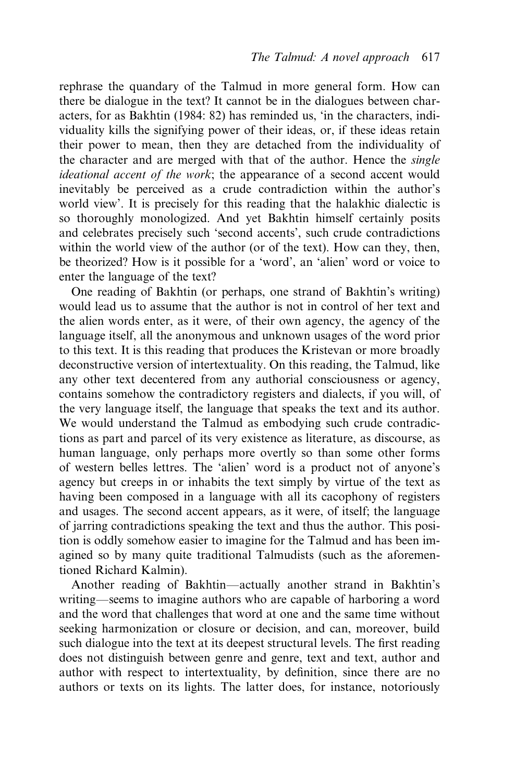rephrase the quandary of the Talmud in more general form. How can there be dialogue in the text? It cannot be in the dialogues between characters, for as Bakhtin (1984: 82) has reminded us, 'in the characters, individuality kills the signifying power of their ideas, or, if these ideas retain their power to mean, then they are detached from the individuality of the character and are merged with that of the author. Hence the single ideational accent of the work; the appearance of a second accent would inevitably be perceived as a crude contradiction within the author's world view'. It is precisely for this reading that the halakhic dialectic is so thoroughly monologized. And yet Bakhtin himself certainly posits and celebrates precisely such 'second accents', such crude contradictions within the world view of the author (or of the text). How can they, then, be theorized? How is it possible for a 'word', an 'alien' word or voice to enter the language of the text?

One reading of Bakhtin (or perhaps, one strand of Bakhtin's writing) would lead us to assume that the author is not in control of her text and the alien words enter, as it were, of their own agency, the agency of the language itself, all the anonymous and unknown usages of the word prior to this text. It is this reading that produces the Kristevan or more broadly deconstructive version of intertextuality. On this reading, the Talmud, like any other text decentered from any authorial consciousness or agency, contains somehow the contradictory registers and dialects, if you will, of the very language itself, the language that speaks the text and its author. We would understand the Talmud as embodying such crude contradictions as part and parcel of its very existence as literature, as discourse, as human language, only perhaps more overtly so than some other forms of western belles lettres. The 'alien' word is a product not of anyone's agency but creeps in or inhabits the text simply by virtue of the text as having been composed in a language with all its cacophony of registers and usages. The second accent appears, as it were, of itself; the language of jarring contradictions speaking the text and thus the author. This position is oddly somehow easier to imagine for the Talmud and has been imagined so by many quite traditional Talmudists (such as the aforementioned Richard Kalmin).

Another reading of Bakhtin—actually another strand in Bakhtin's writing—seems to imagine authors who are capable of harboring a word and the word that challenges that word at one and the same time without seeking harmonization or closure or decision, and can, moreover, build such dialogue into the text at its deepest structural levels. The first reading does not distinguish between genre and genre, text and text, author and author with respect to intertextuality, by definition, since there are no authors or texts on its lights. The latter does, for instance, notoriously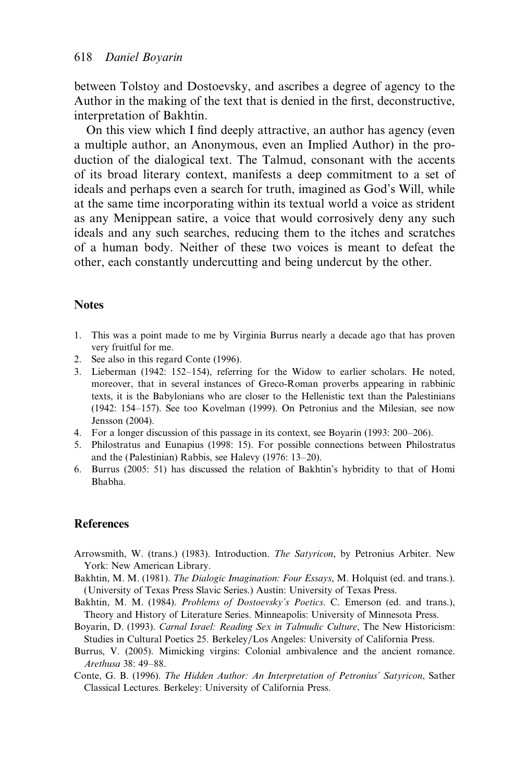between Tolstoy and Dostoevsky, and ascribes a degree of agency to the Author in the making of the text that is denied in the first, deconstructive, interpretation of Bakhtin.

On this view which I find deeply attractive, an author has agency (even a multiple author, an Anonymous, even an Implied Author) in the production of the dialogical text. The Talmud, consonant with the accents of its broad literary context, manifests a deep commitment to a set of ideals and perhaps even a search for truth, imagined as God's Will, while at the same time incorporating within its textual world a voice as strident as any Menippean satire, a voice that would corrosively deny any such ideals and any such searches, reducing them to the itches and scratches of a human body. Neither of these two voices is meant to defeat the other, each constantly undercutting and being undercut by the other.

#### **Notes**

- 1. This was a point made to me by Virginia Burrus nearly a decade ago that has proven very fruitful for me.
- 2. See also in this regard Conte (1996).
- 3. Lieberman (1942: 152–154), referring for the Widow to earlier scholars. He noted, moreover, that in several instances of Greco-Roman proverbs appearing in rabbinic texts, it is the Babylonians who are closer to the Hellenistic text than the Palestinians (1942: 154–157). See too Kovelman (1999). On Petronius and the Milesian, see now Jensson (2004).
- 4. For a longer discussion of this passage in its context, see Boyarin (1993: 200–206).
- 5. Philostratus and Eunapius (1998: 15). For possible connections between Philostratus and the (Palestinian) Rabbis, see Halevy (1976: 13–20).
- 6. Burrus (2005: 51) has discussed the relation of Bakhtin's hybridity to that of Homi Bhabha.

### References

- Arrowsmith, W. (trans.) (1983). Introduction. The Satyricon, by Petronius Arbiter. New York: New American Library.
- Bakhtin, M. M. (1981). The Dialogic Imagination: Four Essays, M. Holquist (ed. and trans.). (University of Texas Press Slavic Series.) Austin: University of Texas Press.
- Bakhtin, M. M. (1984). Problems of Dostoevsky's Poetics. C. Emerson (ed. and trans.), Theory and History of Literature Series. Minneapolis: University of Minnesota Press.
- Boyarin, D. (1993). Carnal Israel: Reading Sex in Talmudic Culture, The New Historicism: Studies in Cultural Poetics 25. Berkeley/Los Angeles: University of California Press.
- Burrus, V. (2005). Mimicking virgins: Colonial ambivalence and the ancient romance. Arethusa 38: 49–88.
- Conte, G. B. (1996). The Hidden Author: An Interpretation of Petronius' Satyricon, Sather Classical Lectures. Berkeley: University of California Press.